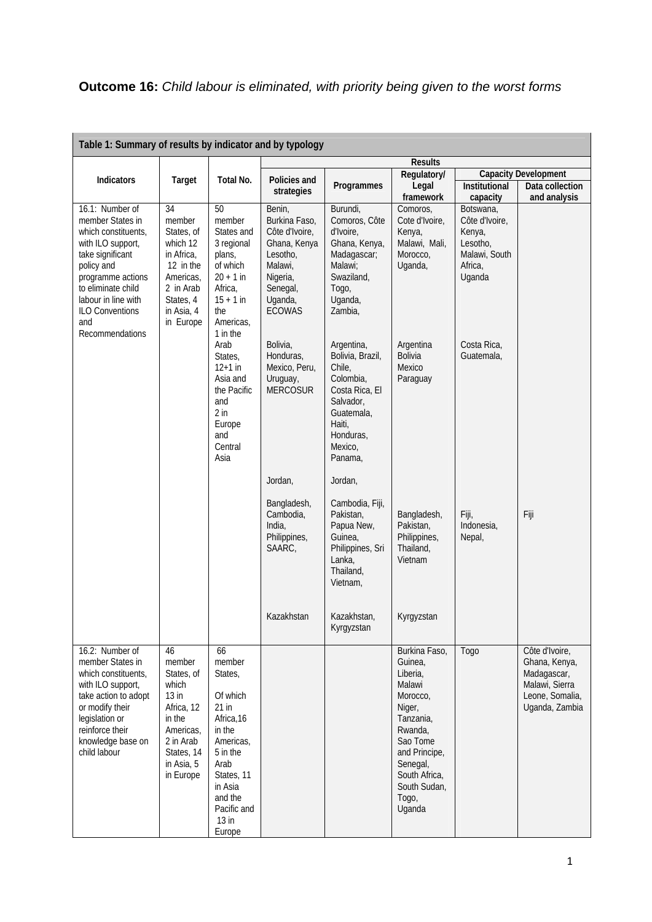|                                                                                                                                                                                                                                         |                                                                                                                                                  |                                                                                                                                                                                 |                                                                                                                                      |                                                                                                                                                 | <b>Results</b>                                                                                                                                                                            |                                                                                         |                                                                                                       |
|-----------------------------------------------------------------------------------------------------------------------------------------------------------------------------------------------------------------------------------------|--------------------------------------------------------------------------------------------------------------------------------------------------|---------------------------------------------------------------------------------------------------------------------------------------------------------------------------------|--------------------------------------------------------------------------------------------------------------------------------------|-------------------------------------------------------------------------------------------------------------------------------------------------|-------------------------------------------------------------------------------------------------------------------------------------------------------------------------------------------|-----------------------------------------------------------------------------------------|-------------------------------------------------------------------------------------------------------|
|                                                                                                                                                                                                                                         | Regulatory/                                                                                                                                      |                                                                                                                                                                                 |                                                                                                                                      | <b>Capacity Development</b>                                                                                                                     |                                                                                                                                                                                           |                                                                                         |                                                                                                       |
| Indicators                                                                                                                                                                                                                              | Target                                                                                                                                           | Total No.                                                                                                                                                                       | Policies and<br>strategies                                                                                                           | Programmes                                                                                                                                      | Legal<br>framework                                                                                                                                                                        | Institutional<br>capacity                                                               | Data collection<br>and analysis                                                                       |
| 16.1: Number of<br>member States in<br>which constituents,<br>with ILO support,<br>take significant<br>policy and<br>programme actions<br>to eliminate child<br>labour in line with<br><b>ILO Conventions</b><br>and<br>Recommendations | $\overline{34}$<br>member<br>States, of<br>which 12<br>in Africa,<br>12 in the<br>Americas,<br>2 in Arab<br>States, 4<br>in Asia, 4<br>in Europe | 50<br>member<br>States and<br>3 regional<br>plans,<br>of which<br>$20 + 1$ in<br>Africa,<br>$15 + 1$ in<br>the<br>Americas,<br>1 in the                                         | Benin,<br>Burkina Faso,<br>Côte d'Ivoire,<br>Ghana, Kenya<br>Lesotho,<br>Malawi,<br>Nigeria,<br>Senegal,<br>Uganda,<br><b>ECOWAS</b> | Burundi,<br>Comoros, Côte<br>d'Ivoire,<br>Ghana, Kenya,<br>Madagascar;<br>Malawi:<br>Swaziland,<br>Togo,<br>Uganda,<br>Zambia,                  | Comoros,<br>Cote d'Ivoire,<br>Kenya,<br>Malawi, Mali,<br>Morocco,<br>Uganda,                                                                                                              | Botswana,<br>Côte d'Ivoire,<br>Kenya,<br>Lesotho,<br>Malawi, South<br>Africa,<br>Uganda |                                                                                                       |
|                                                                                                                                                                                                                                         |                                                                                                                                                  | Arab<br>States,<br>$12+1$ in<br>Asia and<br>the Pacific<br>and<br>$2$ in<br>Europe<br>and<br>Central<br>Asia                                                                    | Bolivia,<br>Honduras,<br>Mexico, Peru,<br>Uruguay,<br><b>MERCOSUR</b>                                                                | Argentina,<br>Bolivia, Brazil,<br>Chile,<br>Colombia,<br>Costa Rica, El<br>Salvador,<br>Guatemala,<br>Haiti,<br>Honduras,<br>Mexico,<br>Panama, | Argentina<br><b>Bolivia</b><br>Mexico<br>Paraguay                                                                                                                                         | Costa Rica,<br>Guatemala,                                                               |                                                                                                       |
|                                                                                                                                                                                                                                         |                                                                                                                                                  |                                                                                                                                                                                 | Jordan,<br>Bangladesh,<br>Cambodia,<br>India,<br>Philippines,<br>SAARC,                                                              | Jordan,<br>Cambodia, Fiji,<br>Pakistan,<br>Papua New,<br>Guinea,<br>Philippines, Sri<br>Lanka,<br>Thailand,<br>Vietnam,                         | Bangladesh,<br>Pakistan,<br>Philippines,<br>Thailand,<br>Vietnam                                                                                                                          | Fiji,<br>Indonesia,<br>Nepal,                                                           | Fiji                                                                                                  |
|                                                                                                                                                                                                                                         |                                                                                                                                                  |                                                                                                                                                                                 | Kazakhstan                                                                                                                           | Kazakhstan,<br>Kyrgyzstan                                                                                                                       | Kyrgyzstan                                                                                                                                                                                |                                                                                         |                                                                                                       |
| 16.2: Number of<br>member States in<br>which constituents.<br>with ILO support,<br>take action to adopt<br>or modify their<br>legislation or<br>reinforce their<br>knowledge base on<br>child labour                                    | 46<br>member<br>States, of<br>which<br>$13$ in<br>Africa, 12<br>in the<br>Americas,<br>2 in Arab<br>States, 14<br>in Asia, 5<br>in Europe        | 66<br>member<br>States,<br>Of which<br>$21$ in<br>Africa, 16<br>in the<br>Americas,<br>5 in the<br>Arab<br>States, 11<br>in Asia<br>and the<br>Pacific and<br>$13$ in<br>Europe |                                                                                                                                      |                                                                                                                                                 | Burkina Faso,<br>Guinea,<br>Liberia.<br>Malawi<br>Morocco,<br>Niger,<br>Tanzania,<br>Rwanda,<br>Sao Tome<br>and Principe,<br>Senegal,<br>South Africa,<br>South Sudan,<br>Togo,<br>Uganda | Togo                                                                                    | Côte d'Ivoire,<br>Ghana, Kenya,<br>Madagascar,<br>Malawi, Sierra<br>Leone, Somalia,<br>Uganda, Zambia |

 $\blacksquare$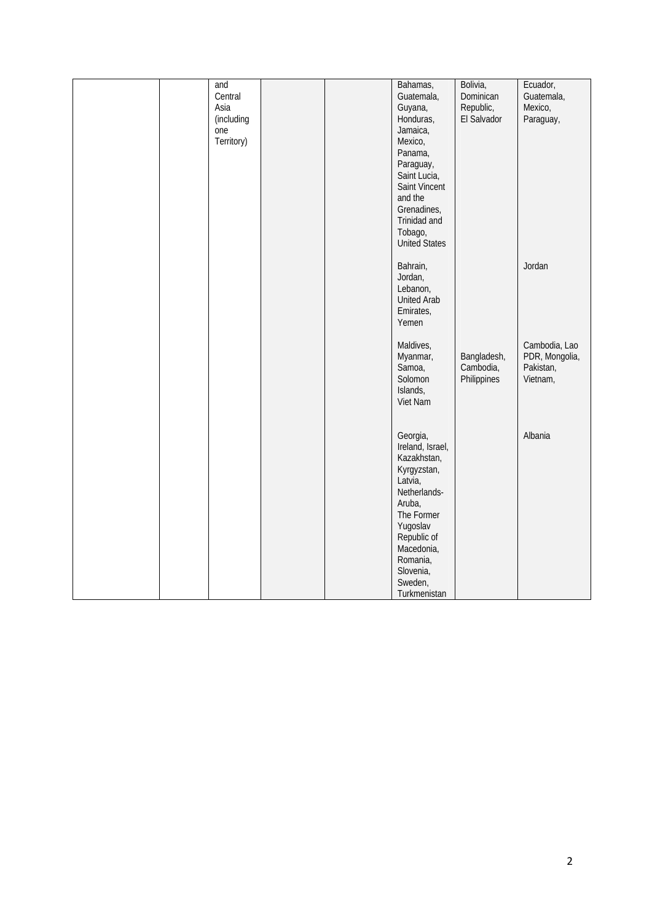|  | and        |  | Bahamas,           | Bolivia,    | Ecuador,       |
|--|------------|--|--------------------|-------------|----------------|
|  | Central    |  | Guatemala,         | Dominican   | Guatemala,     |
|  |            |  |                    |             |                |
|  | Asia       |  | Guyana,            | Republic,   | Mexico,        |
|  | (including |  | Honduras,          | El Salvador | Paraguay,      |
|  | one        |  | Jamaica,           |             |                |
|  | Territory) |  | Mexico,            |             |                |
|  |            |  | Panama,            |             |                |
|  |            |  | Paraguay,          |             |                |
|  |            |  | Saint Lucia,       |             |                |
|  |            |  | Saint Vincent      |             |                |
|  |            |  | and the            |             |                |
|  |            |  | Grenadines,        |             |                |
|  |            |  | Trinidad and       |             |                |
|  |            |  | Tobago,            |             |                |
|  |            |  | United States      |             |                |
|  |            |  |                    |             |                |
|  |            |  | Bahrain,           |             | Jordan         |
|  |            |  | Jordan,            |             |                |
|  |            |  | Lebanon,           |             |                |
|  |            |  | <b>United Arab</b> |             |                |
|  |            |  | Emirates,          |             |                |
|  |            |  | Yemen              |             |                |
|  |            |  |                    |             |                |
|  |            |  | Maldives,          |             | Cambodia, Lao  |
|  |            |  | Myanmar,           | Bangladesh, | PDR, Mongolia, |
|  |            |  | Samoa,             | Cambodia,   | Pakistan,      |
|  |            |  | Solomon            | Philippines | Vietnam,       |
|  |            |  | Islands,           |             |                |
|  |            |  | Viet Nam           |             |                |
|  |            |  |                    |             |                |
|  |            |  | Georgia,           |             | Albania        |
|  |            |  |                    |             |                |
|  |            |  | Ireland, Israel,   |             |                |
|  |            |  | Kazakhstan,        |             |                |
|  |            |  | Kyrgyzstan,        |             |                |
|  |            |  | Latvia,            |             |                |
|  |            |  | Netherlands-       |             |                |
|  |            |  | Aruba,             |             |                |
|  |            |  | The Former         |             |                |
|  |            |  | Yugoslav           |             |                |
|  |            |  | Republic of        |             |                |
|  |            |  | Macedonia,         |             |                |
|  |            |  | Romania,           |             |                |
|  |            |  | Slovenia,          |             |                |
|  |            |  | Sweden,            |             |                |
|  |            |  | Turkmenistan       |             |                |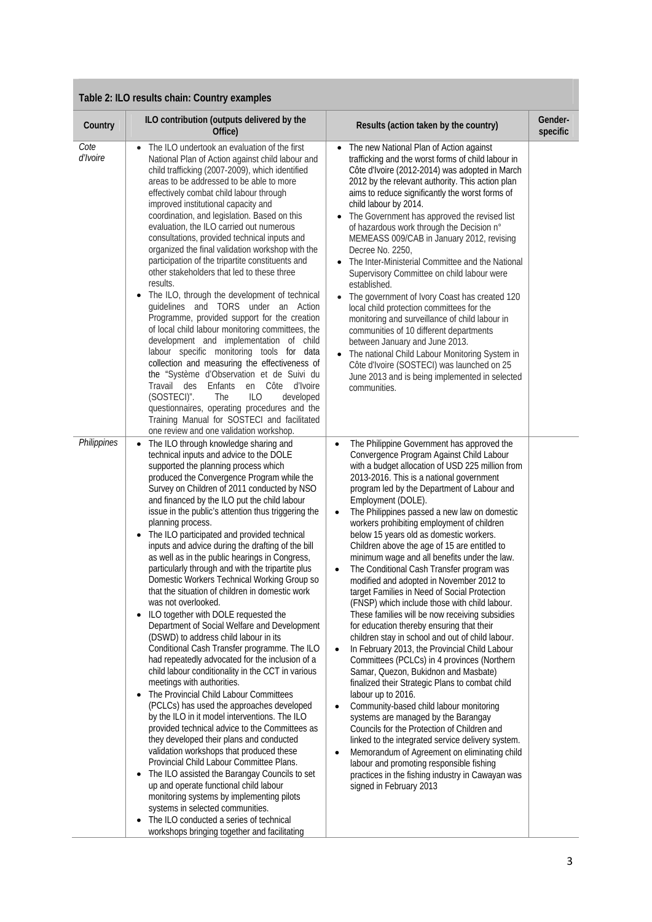| Table 2: ILO results chain: Country examples |                                                                                                                                                                                                                                                                                                                                                                                                                                                                                                                                                                                                                                                                                                                                                                                                                                                                                                                                                                                                                                                                                                                                                                                                                                                                                                                                                                                                                                                                                                                                                                                                                                                                                    |                                                                                                                                                                                                                                                                                                                                                                                                                                                                                                                                                                                                                                                                                                                                                                                                                                                                                                                                                                                                                                                                                                                                                                                                                                                                                                                                                                                                                                                                            |                     |  |  |
|----------------------------------------------|------------------------------------------------------------------------------------------------------------------------------------------------------------------------------------------------------------------------------------------------------------------------------------------------------------------------------------------------------------------------------------------------------------------------------------------------------------------------------------------------------------------------------------------------------------------------------------------------------------------------------------------------------------------------------------------------------------------------------------------------------------------------------------------------------------------------------------------------------------------------------------------------------------------------------------------------------------------------------------------------------------------------------------------------------------------------------------------------------------------------------------------------------------------------------------------------------------------------------------------------------------------------------------------------------------------------------------------------------------------------------------------------------------------------------------------------------------------------------------------------------------------------------------------------------------------------------------------------------------------------------------------------------------------------------------|----------------------------------------------------------------------------------------------------------------------------------------------------------------------------------------------------------------------------------------------------------------------------------------------------------------------------------------------------------------------------------------------------------------------------------------------------------------------------------------------------------------------------------------------------------------------------------------------------------------------------------------------------------------------------------------------------------------------------------------------------------------------------------------------------------------------------------------------------------------------------------------------------------------------------------------------------------------------------------------------------------------------------------------------------------------------------------------------------------------------------------------------------------------------------------------------------------------------------------------------------------------------------------------------------------------------------------------------------------------------------------------------------------------------------------------------------------------------------|---------------------|--|--|
| Country                                      | ILO contribution (outputs delivered by the<br>Office)                                                                                                                                                                                                                                                                                                                                                                                                                                                                                                                                                                                                                                                                                                                                                                                                                                                                                                                                                                                                                                                                                                                                                                                                                                                                                                                                                                                                                                                                                                                                                                                                                              | Results (action taken by the country)                                                                                                                                                                                                                                                                                                                                                                                                                                                                                                                                                                                                                                                                                                                                                                                                                                                                                                                                                                                                                                                                                                                                                                                                                                                                                                                                                                                                                                      | Gender-<br>specific |  |  |
| Cote<br><i>d'Ivoire</i>                      | The ILO undertook an evaluation of the first<br>National Plan of Action against child labour and<br>child trafficking (2007-2009), which identified<br>areas to be addressed to be able to more<br>effectively combat child labour through<br>improved institutional capacity and<br>coordination, and legislation. Based on this<br>evaluation, the ILO carried out numerous<br>consultations, provided technical inputs and<br>organized the final validation workshop with the<br>participation of the tripartite constituents and<br>other stakeholders that led to these three<br>results.<br>The ILO, through the development of technical<br>$\bullet$<br>guidelines and TORS under an Action<br>Programme, provided support for the creation<br>of local child labour monitoring committees, the<br>development and implementation of child<br>labour specific monitoring tools for data<br>collection and measuring the effectiveness of<br>the "Système d'Observation et de Suivi du<br>Travail des<br>Enfants<br>en Côte d'Ivoire<br>(SOSTECI)".<br>The<br>ILO<br>developed<br>questionnaires, operating procedures and the<br>Training Manual for SOSTECI and facilitated<br>one review and one validation workshop.                                                                                                                                                                                                                                                                                                                                                                                                                                                   | The new National Plan of Action against<br>trafficking and the worst forms of child labour in<br>Côte d'Ivoire (2012-2014) was adopted in March<br>2012 by the relevant authority. This action plan<br>aims to reduce significantly the worst forms of<br>child labour by 2014.<br>The Government has approved the revised list<br>of hazardous work through the Decision n°<br>MEMEASS 009/CAB in January 2012, revising<br>Decree No. 2250,<br>• The Inter-Ministerial Committee and the National<br>Supervisory Committee on child labour were<br>established.<br>The government of Ivory Coast has created 120<br>local child protection committees for the<br>monitoring and surveillance of child labour in<br>communities of 10 different departments<br>between January and June 2013.<br>The national Child Labour Monitoring System in<br>Côte d'Ivoire (SOSTECI) was launched on 25<br>June 2013 and is being implemented in selected<br>communities.                                                                                                                                                                                                                                                                                                                                                                                                                                                                                                           |                     |  |  |
| Philippines                                  | The ILO through knowledge sharing and<br>$\bullet$<br>technical inputs and advice to the DOLE<br>supported the planning process which<br>produced the Convergence Program while the<br>Survey on Children of 2011 conducted by NSO<br>and financed by the ILO put the child labour<br>issue in the public's attention thus triggering the<br>planning process.<br>The ILO participated and provided technical<br>inputs and advice during the drafting of the bill<br>as well as in the public hearings in Congress,<br>particularly through and with the tripartite plus<br>Domestic Workers Technical Working Group so<br>that the situation of children in domestic work<br>was not overlooked.<br>ILO together with DOLE requested the<br>$\bullet$<br>Department of Social Welfare and Development<br>(DSWD) to address child labour in its<br>Conditional Cash Transfer programme. The ILO<br>had repeatedly advocated for the inclusion of a<br>child labour conditionality in the CCT in various<br>meetings with authorities.<br>The Provincial Child Labour Committees<br>$\bullet$<br>(PCLCs) has used the approaches developed<br>by the ILO in it model interventions. The ILO<br>provided technical advice to the Committees as<br>they developed their plans and conducted<br>validation workshops that produced these<br>Provincial Child Labour Committee Plans.<br>The ILO assisted the Barangay Councils to set<br>$\bullet$<br>up and operate functional child labour<br>monitoring systems by implementing pilots<br>systems in selected communities.<br>The ILO conducted a series of technical<br>$\bullet$<br>workshops bringing together and facilitating | The Philippine Government has approved the<br>$\bullet$<br>Convergence Program Against Child Labour<br>with a budget allocation of USD 225 million from<br>2013-2016. This is a national government<br>program led by the Department of Labour and<br>Employment (DOLE).<br>The Philippines passed a new law on domestic<br>$\bullet$<br>workers prohibiting employment of children<br>below 15 years old as domestic workers.<br>Children above the age of 15 are entitled to<br>minimum wage and all benefits under the law.<br>The Conditional Cash Transfer program was<br>modified and adopted in November 2012 to<br>target Families in Need of Social Protection<br>(FNSP) which include those with child labour.<br>These families will be now receiving subsidies<br>for education thereby ensuring that their<br>children stay in school and out of child labour.<br>In February 2013, the Provincial Child Labour<br>$\bullet$<br>Committees (PCLCs) in 4 provinces (Northern<br>Samar, Quezon, Bukidnon and Masbate)<br>finalized their Strategic Plans to combat child<br>labour up to 2016.<br>Community-based child labour monitoring<br>systems are managed by the Barangay<br>Councils for the Protection of Children and<br>linked to the integrated service delivery system.<br>Memorandum of Agreement on eliminating child<br>labour and promoting responsible fishing<br>practices in the fishing industry in Cawayan was<br>signed in February 2013 |                     |  |  |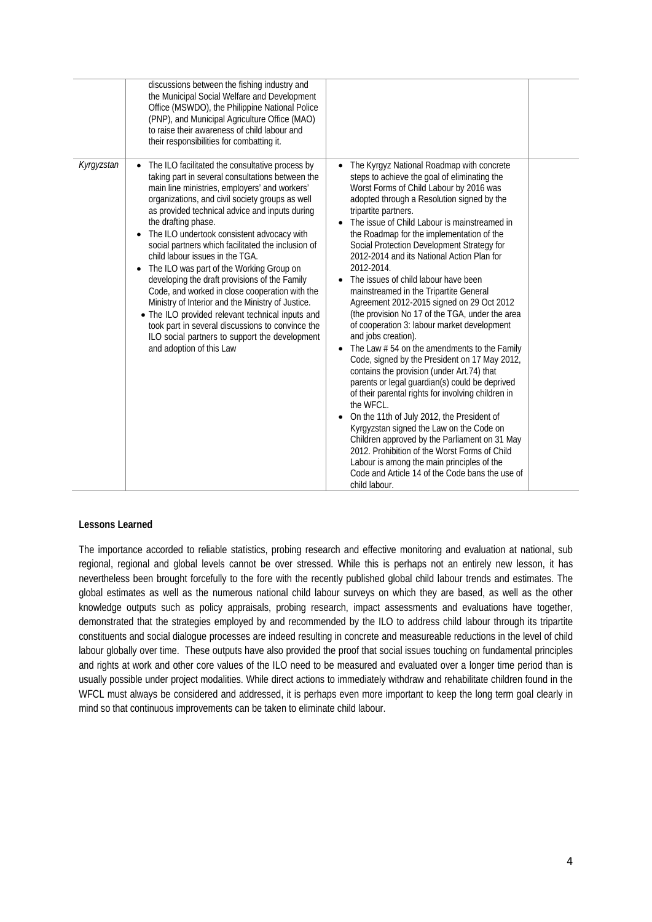|            | discussions between the fishing industry and<br>the Municipal Social Welfare and Development<br>Office (MSWDO), the Philippine National Police<br>(PNP), and Municipal Agriculture Office (MAO)<br>to raise their awareness of child labour and<br>their responsibilities for combatting it.                                                                                                                                                                                                                                                                                                                                                                                                                                                                                                                                   |                                                                                                                                                                                                                                                                                                                                                                                                                                                                                                                                                                                                                                                                                                                                                                                                                                                                                                                                                                                                                                                                                                                                                                                                                                                               |  |
|------------|--------------------------------------------------------------------------------------------------------------------------------------------------------------------------------------------------------------------------------------------------------------------------------------------------------------------------------------------------------------------------------------------------------------------------------------------------------------------------------------------------------------------------------------------------------------------------------------------------------------------------------------------------------------------------------------------------------------------------------------------------------------------------------------------------------------------------------|---------------------------------------------------------------------------------------------------------------------------------------------------------------------------------------------------------------------------------------------------------------------------------------------------------------------------------------------------------------------------------------------------------------------------------------------------------------------------------------------------------------------------------------------------------------------------------------------------------------------------------------------------------------------------------------------------------------------------------------------------------------------------------------------------------------------------------------------------------------------------------------------------------------------------------------------------------------------------------------------------------------------------------------------------------------------------------------------------------------------------------------------------------------------------------------------------------------------------------------------------------------|--|
| Kyrgyzstan | The ILO facilitated the consultative process by<br>taking part in several consultations between the<br>main line ministries, employers' and workers'<br>organizations, and civil society groups as well<br>as provided technical advice and inputs during<br>the drafting phase.<br>The ILO undertook consistent advocacy with<br>social partners which facilitated the inclusion of<br>child labour issues in the TGA.<br>The ILO was part of the Working Group on<br>$\bullet$<br>developing the draft provisions of the Family<br>Code, and worked in close cooperation with the<br>Ministry of Interior and the Ministry of Justice.<br>• The ILO provided relevant technical inputs and<br>took part in several discussions to convince the<br>ILO social partners to support the development<br>and adoption of this Law | The Kyrgyz National Roadmap with concrete<br>steps to achieve the goal of eliminating the<br>Worst Forms of Child Labour by 2016 was<br>adopted through a Resolution signed by the<br>tripartite partners.<br>The issue of Child Labour is mainstreamed in<br>the Roadmap for the implementation of the<br>Social Protection Development Strategy for<br>2012-2014 and its National Action Plan for<br>2012-2014.<br>The issues of child labour have been<br>mainstreamed in the Tripartite General<br>Agreement 2012-2015 signed on 29 Oct 2012<br>(the provision No 17 of the TGA, under the area<br>of cooperation 3: labour market development<br>and jobs creation).<br>The Law $# 54$ on the amendments to the Family<br>Code, signed by the President on 17 May 2012,<br>contains the provision (under Art.74) that<br>parents or legal guardian(s) could be deprived<br>of their parental rights for involving children in<br>the WFCL.<br>On the 11th of July 2012, the President of<br>Kyrgyzstan signed the Law on the Code on<br>Children approved by the Parliament on 31 May<br>2012. Prohibition of the Worst Forms of Child<br>Labour is among the main principles of the<br>Code and Article 14 of the Code bans the use of<br>child labour. |  |

## **Lessons Learned**

The importance accorded to reliable statistics, probing research and effective monitoring and evaluation at national, sub regional, regional and global levels cannot be over stressed. While this is perhaps not an entirely new lesson, it has nevertheless been brought forcefully to the fore with the recently published global child labour trends and estimates. The global estimates as well as the numerous national child labour surveys on which they are based, as well as the other knowledge outputs such as policy appraisals, probing research, impact assessments and evaluations have together, demonstrated that the strategies employed by and recommended by the ILO to address child labour through its tripartite constituents and social dialogue processes are indeed resulting in concrete and measureable reductions in the level of child labour globally over time. These outputs have also provided the proof that social issues touching on fundamental principles and rights at work and other core values of the ILO need to be measured and evaluated over a longer time period than is usually possible under project modalities. While direct actions to immediately withdraw and rehabilitate children found in the WFCL must always be considered and addressed, it is perhaps even more important to keep the long term goal clearly in mind so that continuous improvements can be taken to eliminate child labour.